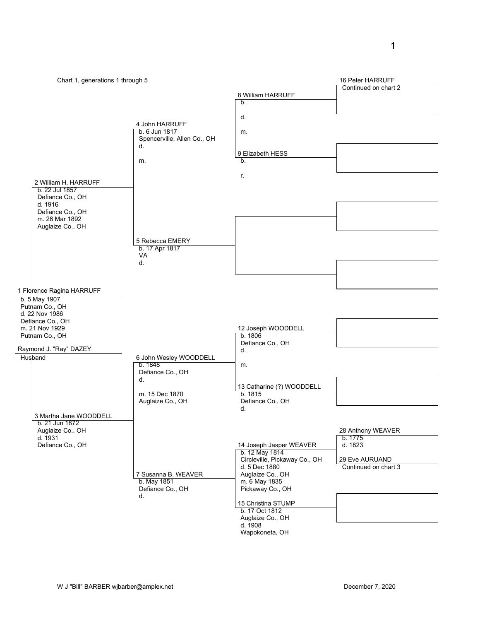1

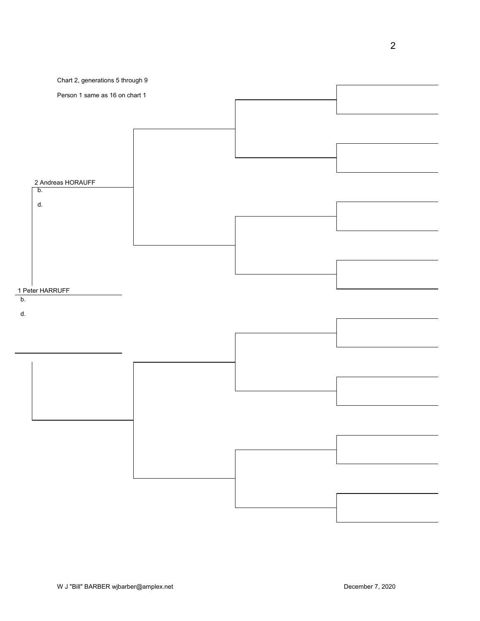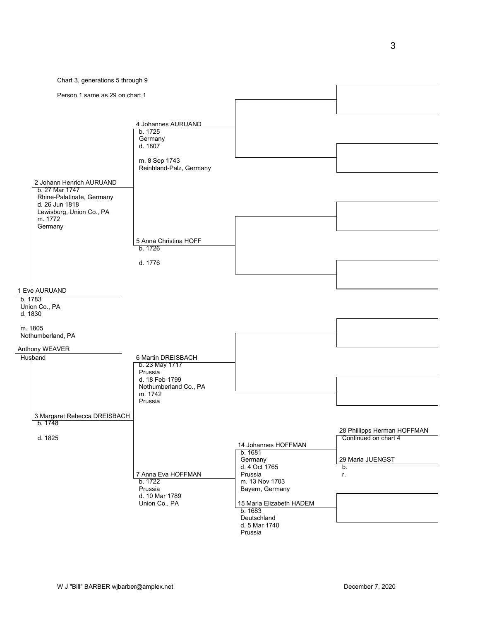